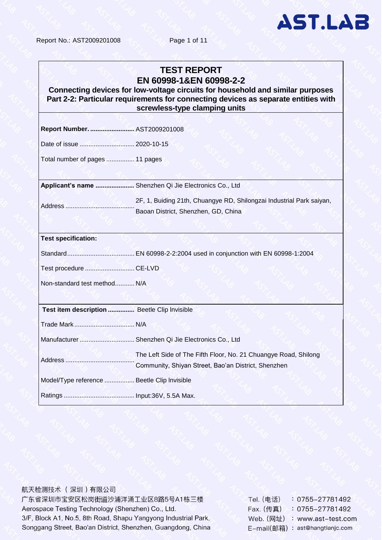Report No.: AST2009201008 Page 1 of 11

# **AST.LAB**

#### **TEST REPORT EN 60998-1&EN 60998-2-2**

**Connecting devices for low-voltage circuits for household and similar purposes Part 2-2: Particular requirements for connecting devices as separate entities with screwless-type clamping units**

**Report Number. ..............................** AST20092010 **:** 08 Date of issue ................................20....20: -10-15 Total number of pages ................. 11 pages **Applicant's name ...........................** Shenzhen Qi Jie Electronics Co., **:** Ltd Address ............................................**:** 2F, 1, Buiding 21th, Chuangye RD, Shilongzai Industrial Park saiyan, Baoan District, Shenzhen, GD, China **Test specification:** Standard........................................... EN 60998 : -2-2:2004 used in conjunction with EN 60998-1:2004 Test procedure ................................ CE. :-LVD Non-standard test method................. N/A **Test item description .....................** Beetle Clip lnvisible **:** Trade Mark ....................................... N/A: Manufacturer .................................. Shenzhen Qi Jie Electronics Co., Ltd Address ............................................**:** The Left Side of The Fifth Floor, No. 21 Chuangye Road, Shilong Community, Shiyan Street, Bao'an District, Shenzhen Model/Type reference ................... Beetle Clip Invisible Ratings ............................................. Input: : 36V, 5.5A Max.

航天检测技术 (深圳)有限公司 广东省深圳市宝安区松岗街道沙浦洋涌工业区8路5号A1栋三楼 Aerospace Testing Technology (Shenzhen) Co., Ltd. 3/F, Block A1, No.5, 8th Road, Shapu Yangyong Industrial Park, Songgang Street, Bao'an District, Shenzhen, Guangdong, China

Tel. (电话)  $: 0755 - 27781492$ Fax. (传真)  $: 0755 - 27781492$ Web. (网址) : www.ast-test.com E-mail(邮箱): ast@hangtianjc.com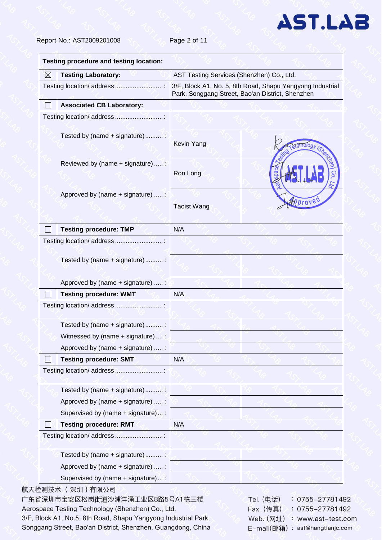Report No.: AST2009201008 Page 2 of 11

| ⊠ | <b>Testing Laboratory:</b>         | AST Testing Services (Shenzhen) Co., Ltd.        |                                                           |
|---|------------------------------------|--------------------------------------------------|-----------------------------------------------------------|
|   | Testing location/ address          | Park, Songgang Street, Bao'an District, Shenzhen | 3/F, Block A1, No. 5, 8th Road, Shapu Yangyong Industrial |
|   | <b>Associated CB Laboratory:</b>   |                                                  |                                                           |
|   |                                    |                                                  |                                                           |
|   | Tested by (name + signature):      | Kevin Yang                                       |                                                           |
|   | Reviewed by (name + signature)  :  | Ron Long                                         |                                                           |
|   | Approved by (name + signature)  :  | <b>Taoist Wang</b>                               | <i><b>Pproved</b></i>                                     |
|   | <b>Testing procedure: TMP</b>      | N/A                                              |                                                           |
|   | Testing location/ address          |                                                  |                                                           |
|   | Tested by (name + signature):      |                                                  |                                                           |
|   | Approved by (name + signature)  :  |                                                  |                                                           |
|   | <b>Testing procedure: WMT</b>      | N/A                                              |                                                           |
|   | Testing location/ address          |                                                  |                                                           |
|   | Tested by (name + signature)       |                                                  |                                                           |
|   | Witnessed by (name + signature)  : |                                                  |                                                           |
|   | Approved by (name + signature)  :  |                                                  |                                                           |
|   | <b>Testing procedure: SMT</b>      | N/A                                              |                                                           |
|   | Testing location/ address          |                                                  |                                                           |
|   | Tested by (name + signature)       |                                                  |                                                           |
|   | Approved by (name + signature)  :  |                                                  |                                                           |
|   | Supervised by (name + signature) : |                                                  |                                                           |
|   | <b>Testing procedure: RMT</b>      | N/A                                              |                                                           |
|   | Testing location/ address          |                                                  |                                                           |
|   | Tested by (name + signature):      |                                                  |                                                           |
|   | Approved by (name + signature)  :  |                                                  |                                                           |
|   | Supervised by (name + signature):  |                                                  |                                                           |

航天检测技术 (深圳)有限公司

广东省深圳市宝安区松岗街道沙浦洋涌工业区8路5号A1栋三楼 Aerospace Testing Technology (Shenzhen) Co., Ltd. 3/F, Block A1, No.5, 8th Road, Shapu Yangyong Industrial Park, Songgang Street, Bao'an District, Shenzhen, Guangdong, China Tel. (电话)  $: 0755 - 27781492$  $: 0755 - 27781492$ Fax. (传真) Web. (网址) : www.ast-test.com E-mail(邮箱): ast@hangtianjc.com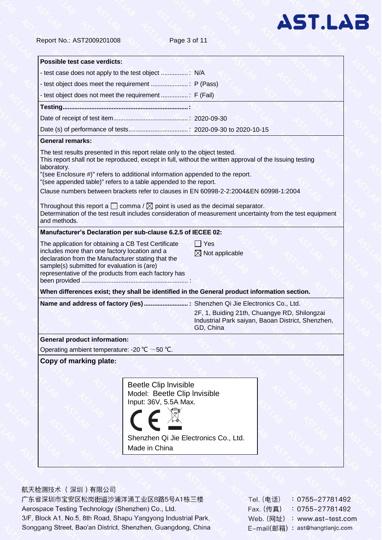

Report No.: AST2009201008 Page 3 of 11

| Possible test case verdicts:                                                                                                                                                                                                                                                                                                                                                                                                                                                                                                                       |                                                                                |                            |                                                                                                   |
|----------------------------------------------------------------------------------------------------------------------------------------------------------------------------------------------------------------------------------------------------------------------------------------------------------------------------------------------------------------------------------------------------------------------------------------------------------------------------------------------------------------------------------------------------|--------------------------------------------------------------------------------|----------------------------|---------------------------------------------------------------------------------------------------|
|                                                                                                                                                                                                                                                                                                                                                                                                                                                                                                                                                    |                                                                                |                            |                                                                                                   |
|                                                                                                                                                                                                                                                                                                                                                                                                                                                                                                                                                    |                                                                                |                            |                                                                                                   |
|                                                                                                                                                                                                                                                                                                                                                                                                                                                                                                                                                    |                                                                                |                            |                                                                                                   |
|                                                                                                                                                                                                                                                                                                                                                                                                                                                                                                                                                    |                                                                                |                            |                                                                                                   |
|                                                                                                                                                                                                                                                                                                                                                                                                                                                                                                                                                    |                                                                                |                            |                                                                                                   |
|                                                                                                                                                                                                                                                                                                                                                                                                                                                                                                                                                    |                                                                                |                            |                                                                                                   |
| <b>General remarks:</b>                                                                                                                                                                                                                                                                                                                                                                                                                                                                                                                            |                                                                                |                            |                                                                                                   |
| The test results presented in this report relate only to the object tested.<br>This report shall not be reproduced, except in full, without the written approval of the Issuing testing<br>laboratory.<br>"(see Enclosure #)" refers to additional information appended to the report.<br>"(see appended table)" refers to a table appended to the report.<br>Clause numbers between brackets refer to clauses in EN 60998-2-2:2004&EN 60998-1:2004<br>Throughout this report a $\Box$ comma / $\boxtimes$ point is used as the decimal separator. |                                                                                |                            |                                                                                                   |
| Determination of the test result includes consideration of measurement uncertainty from the test equipment<br>and methods.                                                                                                                                                                                                                                                                                                                                                                                                                         |                                                                                |                            |                                                                                                   |
| Manufacturer's Declaration per sub-clause 6.2.5 of IECEE 02:                                                                                                                                                                                                                                                                                                                                                                                                                                                                                       |                                                                                |                            |                                                                                                   |
| includes more than one factory location and a<br>declaration from the Manufacturer stating that the<br>sample(s) submitted for evaluation is (are)<br>representative of the products from each factory has<br>been provided memorian memorian memorian :                                                                                                                                                                                                                                                                                           |                                                                                | $\boxtimes$ Not applicable |                                                                                                   |
| When differences exist; they shall be identified in the General product information section.                                                                                                                                                                                                                                                                                                                                                                                                                                                       |                                                                                |                            |                                                                                                   |
| Name and address of factory (ies)  Shenzhen Qi Jie Electronics Co., Ltd.                                                                                                                                                                                                                                                                                                                                                                                                                                                                           |                                                                                | GD, China                  | 2F, 1, Buiding 21th, Chuangye RD, Shilongzai<br>Industrial Park saiyan, Baoan District, Shenzhen, |
| <b>General product information:</b>                                                                                                                                                                                                                                                                                                                                                                                                                                                                                                                |                                                                                |                            |                                                                                                   |
| Operating ambient temperature: -20 °C $\sim$ 50 °C.                                                                                                                                                                                                                                                                                                                                                                                                                                                                                                |                                                                                |                            |                                                                                                   |
| Copy of marking plate:                                                                                                                                                                                                                                                                                                                                                                                                                                                                                                                             |                                                                                |                            |                                                                                                   |
|                                                                                                                                                                                                                                                                                                                                                                                                                                                                                                                                                    | Beetle Clip Invisible<br>Model: Beetle Clip Invisible<br>Input: 36V, 5.5A Max. |                            |                                                                                                   |
|                                                                                                                                                                                                                                                                                                                                                                                                                                                                                                                                                    | Shenzhen Qi Jie Electronics Co., Ltd.                                          |                            |                                                                                                   |
|                                                                                                                                                                                                                                                                                                                                                                                                                                                                                                                                                    | Made in China                                                                  |                            |                                                                                                   |

#### 航天检测技术 (深圳)有限公司

广东省深圳市宝安区松岗街道沙浦洋涌工业区8路5号A1栋三楼 Aerospace Testing Technology (Shenzhen) Co., Ltd. 3/F, Block A1, No.5, 8th Road, Shapu Yangyong Industrial Park, Songgang Street, Bao'an District, Shenzhen, Guangdong, China

| Tel. (电话)  | $: 0755 - 27781492$  |
|------------|----------------------|
| Fax. (传真)  | 0755-27781492        |
| Web. (网址)  | : www.ast-test.com   |
| E-mail(邮箱) | : ast@hangtianjc.com |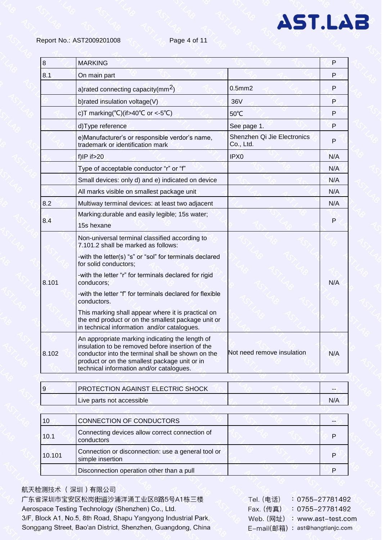| <b>MARKING</b>                                                                                                                                                                                                                                        |                                          | P   |  |
|-------------------------------------------------------------------------------------------------------------------------------------------------------------------------------------------------------------------------------------------------------|------------------------------------------|-----|--|
| On main part                                                                                                                                                                                                                                          |                                          | P   |  |
| a) rated connecting capacity ( $mm2$ )                                                                                                                                                                                                                | $0.5$ mm $2$                             | P   |  |
| b) rated insulation voltage(V)                                                                                                                                                                                                                        | 36V                                      | P   |  |
| c)T marking(°C)(if>40°C or <-5°C)                                                                                                                                                                                                                     | 50°C                                     | P   |  |
| d)Type reference                                                                                                                                                                                                                                      | See page 1.                              | P   |  |
| e)Manufacturer's or responsible verdor's name,<br>trademark or identification mark                                                                                                                                                                    | Shenzhen Qi Jie Electronics<br>Co., Ltd. | P   |  |
| $f$ ) IP if $>20$                                                                                                                                                                                                                                     | IPX <sub>0</sub>                         | N/A |  |
| Type of acceptable conductor "r" or "f"                                                                                                                                                                                                               |                                          | N/A |  |
| Small devices: only d) and e) indicated on device                                                                                                                                                                                                     |                                          | N/A |  |
| All marks visible on smallest package unit                                                                                                                                                                                                            |                                          | N/A |  |
| Multiway terminal devices: at least two adjacent                                                                                                                                                                                                      |                                          | N/A |  |
| Marking: durable and easily legible; 15s water;<br>15s hexane                                                                                                                                                                                         |                                          | P   |  |
| Non-universal terminal classified according to<br>7.101.2 shall be marked as follows:                                                                                                                                                                 |                                          |     |  |
| -with the letter(s) "s" or "sol" for terminals declared<br>for solid conductors;                                                                                                                                                                      |                                          |     |  |
| -with the letter "r" for terminals declared for rigid<br>conducors:                                                                                                                                                                                   |                                          | N/A |  |
| -with the letter "f" for terminals declared for flexible<br>conductors.                                                                                                                                                                               |                                          |     |  |
| This marking shall appear where it is practical on<br>the end product or on the smallest package unit or<br>in technical information and/or catalogues.                                                                                               |                                          |     |  |
| An appropriate marking indicating the length of<br>insulation to be removed before insertion of the<br>conductor into the terminal shall be shown on the<br>product or on the smallest package unit or in<br>technical information and/or catalogues. | Not need remove insulation               | N/A |  |
|                                                                                                                                                                                                                                                       |                                          |     |  |

| <b>PROTECTION AGAINST ELECTRIC SHOCK</b> | --  |
|------------------------------------------|-----|
| Live parts not accessible                | N/A |

| 10     | CONNECTION OF CONDUCTORS                                               |  |
|--------|------------------------------------------------------------------------|--|
| 10.1   | Connecting devices allow correct connection of<br>conductors           |  |
| 10.101 | Connection or disconnection: use a general tool or<br>simple insertion |  |
|        | Disconnection operation other than a pull                              |  |

#### 航天检测技术 (深圳)有限公司

广东省深圳市宝安区松岗街道沙浦洋涌工业区8路5号A1栋三楼 Aerospace Testing Technology (Shenzhen) Co., Ltd. 3/F, Block A1, No.5, 8th Road, Shapu Yangyong Industrial Park, Songgang Street, Bao'an District, Shenzhen, Guangdong, China

| Tel. (电话)  | $: 0755 - 27781492$  |
|------------|----------------------|
| Fax. (传真)  | 0755-27781492        |
| Web. (网址)  | : www.ast-test.com   |
| E-mail(邮箱) | : ast@hangtianjc.com |

**AST.LAB**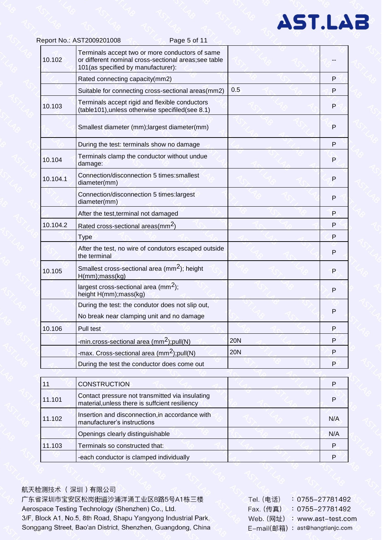| 10.102   | Terminals accept two or more conductors of same<br>or different nominal cross-sectional areas;see table<br>101(as specified by manufacturer): |            |   |
|----------|-----------------------------------------------------------------------------------------------------------------------------------------------|------------|---|
|          | Rated connecting capacity(mm2)                                                                                                                |            | P |
|          | Suitable for connecting cross-sectional areas(mm2)                                                                                            | 0.5        | P |
| 10.103   | Terminals accept rigid and flexible conductors<br>(table101), unless otherwise specifiled (see 8.1)                                           |            | P |
|          | Smallest diameter (mm); largest diameter(mm)                                                                                                  |            | P |
|          | During the test: terminals show no damage                                                                                                     |            | P |
| 10.104   | Terminals clamp the conductor without undue<br>damage:                                                                                        |            | P |
| 10.104.1 | Connection/disconnection 5 times: smallest<br>diameter(mm)                                                                                    |            | P |
|          | Connection/disconnection 5 times:largest<br>diameter(mm)                                                                                      |            | P |
|          | After the test, terminal not damaged                                                                                                          |            | P |
| 10.104.2 | Rated cross-sectional areas(mm <sup>2</sup> )                                                                                                 |            | P |
|          | <b>Type</b>                                                                                                                                   |            | P |
|          | After the test, no wire of condutors escaped outside<br>the terminal                                                                          |            | P |
| 10.105   | Smallest cross-sectional area (mm <sup>2</sup> ); height<br>$H(mm)$ ; mass( $kg$ )                                                            |            | P |
|          | largest cross-sectional area (mm <sup>2</sup> );<br>height H(mm); mass(kg)                                                                    |            | P |
|          | During the test: the condutor does not slip out,<br>No break near clamping unit and no damage                                                 |            | P |
| 10.106   | Pull test                                                                                                                                     |            | P |
|          | -min.cross-sectional area (mm <sup>2</sup> );pull(N)                                                                                          | <b>20N</b> | P |
|          | -max. Cross-sectional area (mm <sup>2</sup> );pull(N)                                                                                         | <b>20N</b> | P |
|          | During the test the conductor does come out                                                                                                   |            | P |
|          |                                                                                                                                               |            |   |

Page 5 of 11

| 11     | <b>CONSTRUCTION</b>                                                                               |     |
|--------|---------------------------------------------------------------------------------------------------|-----|
| 11.101 | Contact pressure not transmitted via insulating<br>material, unless there is suffcient resiliency |     |
| 11.102 | Insertion and disconnection, in accordance with<br>manufacturer's instructions                    | N/A |
|        | Openings clearly distinguishable                                                                  | N/A |
| 11.103 | Terminals so constructed that:                                                                    | P   |
|        | -each conductor is clamped individually                                                           |     |

#### 航天检测技术 (深圳)有限公司

Report No.: AST2009201008

广东省深圳市宝安区松岗街道沙浦洋涌工业区8路5号A1栋三楼 Aerospace Testing Technology (Shenzhen) Co., Ltd. 3/F, Block A1, No.5, 8th Road, Shapu Yangyong Industrial Park, Songgang Street, Bao'an District, Shenzhen, Guangdong, China

| Tel. (电话)  | : 0755-27781492      |
|------------|----------------------|
| Fax. (传真)  | 0755-27781492        |
| Web. (网址)  | : www.ast-test.com   |
| E-mail(邮箱) | : ast@hangtianjc.com |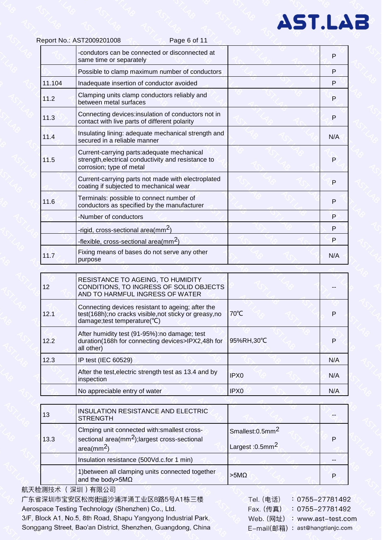|        | -condutors can be connected or disconnected at<br>same time or separately                                                     | P   |
|--------|-------------------------------------------------------------------------------------------------------------------------------|-----|
|        | Possible to clamp maximum number of conductors                                                                                | P   |
| 11.104 | Inadequate insertion of conductor avoided                                                                                     | P   |
| 11.2   | Clamping units clamp conductors reliably and<br>between metal surfaces                                                        | P   |
| 11.3   | Connecting devices:insulation of conductors not in<br>contact with live parts of different polarity                           | P   |
| 11.4   | Insulating lining: adequate mechanical strength and<br>secured in a reliable manner                                           | N/A |
| 11.5   | Current-carrying parts:adequate mechanical<br>strength, electrical conductivity and resistance to<br>corrosion; type of metal | P   |
|        | Current-carrying parts not made with electroplated<br>coating if subjected to mechanical wear                                 | P   |
| 11.6   | Terminals: possible to connect number of<br>conductors as specified by the manufacturer                                       | P   |
|        | -Number of conductors                                                                                                         | P   |
|        | -rigid, cross-sectional area(mm <sup>2</sup> )                                                                                | P   |
|        | -flexible, cross-sectional area( $mm2$ )                                                                                      | P   |
| 11.7   | Fixing means of bases do not serve any other<br>purpose                                                                       | N/A |

Page 6 of 11

| 12   | <b>RESISTANCE TO AGEING, TO HUMIDITY</b><br>CONDITIONS, TO INGRESS OF SOLID OBJECTS<br>AND TO HARMFUL INGRESS OF WATER                   |                  |     |
|------|------------------------------------------------------------------------------------------------------------------------------------------|------------------|-----|
| 12.1 | Connecting devices resistant to ageing; after the<br>test(168h);no cracks visible,not sticky or greasy,no<br>damage;test temperature(°C) | $70^{\circ}$ C   |     |
| 12.2 | After humidity test (91-95%): no damage; test<br>duration(168h for connecting devices>IPX2,48h for<br>all other)                         | 95%RH,30°C       |     |
| 12.3 | IP test (IEC 60529)                                                                                                                      |                  | N/A |
|      | After the test, electric strength test as 13.4 and by<br>inspection                                                                      | IPX <sub>0</sub> | N/A |
|      | No appreciable entry of water                                                                                                            | IPX <sub>0</sub> | N/A |

| 13   | INSULATION RESISTANCE AND ELECTRIC<br><b>STRENGTH</b>                                                                               |                                                               |  |
|------|-------------------------------------------------------------------------------------------------------------------------------------|---------------------------------------------------------------|--|
| 13.3 | Cimping unit connected with: smallest cross-<br>sectional area(mm <sup>2</sup> ); largest cross-sectional<br>area(mm <sup>2</sup> ) | Smallest:0.5mm <sup>2</sup><br>Largest: $0.5$ mm <sup>2</sup> |  |
|      | Insulation resistance (500Vd.c.for 1 min)                                                                                           |                                                               |  |
|      | 1) between all clamping units connected together<br>and the body>5M $\Omega$                                                        | $>5M\Omega$                                                   |  |

航天检测技术 (深圳)有限公司 广东省深圳市宝安区松岗街道沙浦洋涌工业区8路5号A1栋三楼 Aerospace Testing Technology (Shenzhen) Co., Ltd. 3/F, Block A1, No.5, 8th Road, Shapu Yangyong Industrial Park, Songgang Street, Bao'an District, Shenzhen, Guangdong, China

Report No.: AST2009201008

Tel. (电话)  $: 0755 - 27781492$ Fax. (传真)  $: 0755 - 27781492$ Web. (网址) : www.ast-test.com E-mail(邮箱): ast@hangtianjc.com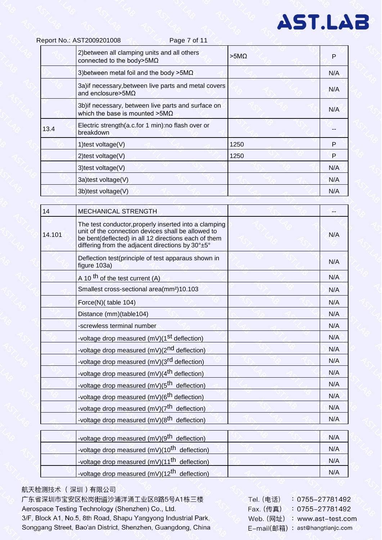|      | Report No.: AST2009201008<br>Page 7 of 11                                                    |                 |     |
|------|----------------------------------------------------------------------------------------------|-----------------|-----|
|      | 2) between all clamping units and all others<br>connected to the body>5M $\Omega$            | $>5$ M $\Omega$ | P   |
|      | 3) between metal foil and the body $>5M\Omega$                                               |                 | N/A |
|      | 3a) if necessary, between live parts and metal covers<br>and enclosure > 5M $\Omega$         |                 | N/A |
|      | 3b) if necessary, between live parts and surface on<br>which the base is mounted $>5M\Omega$ |                 | N/A |
| 13.4 | Electric strength(a.c.for 1 min):no flash over or<br>breakdown                               |                 |     |
|      | 1) test voltage $(V)$                                                                        | 1250            | P   |
|      | $2$ ) test voltage $(V)$                                                                     | 1250            | P   |
|      | 3) test voltage(V)                                                                           |                 | N/A |
|      | 3a)test voltage(V)                                                                           |                 | N/A |
|      | 3b)test voltage(V)                                                                           |                 | N/A |

| 14     | <b>MECHANICAL STRENGTH</b>                                                                                                                                                                                              |     |
|--------|-------------------------------------------------------------------------------------------------------------------------------------------------------------------------------------------------------------------------|-----|
| 14.101 | The test conductor, properly inserted into a clamping<br>unit of the connection devices shall be allowed to<br>be bent(deflected) in all 12 directions each of them<br>differing from the adjacent directions by 30°±5° | N/A |
|        | Deflection test(principle of test apparaus shown in<br>figure 103a)                                                                                                                                                     | N/A |
|        | A 10 <sup>th</sup> of the test current (A)                                                                                                                                                                              | N/A |
|        | Smallest cross-sectional area(mm <sup>2</sup> )10.103                                                                                                                                                                   | N/A |
|        | Force(N)(table 104)                                                                                                                                                                                                     | N/A |
|        | Distance (mm)(table104)                                                                                                                                                                                                 | N/A |
|        | -screwless terminal number                                                                                                                                                                                              | N/A |
|        | -voltage drop measured (mV)(1 <sup>st</sup> deflection)                                                                                                                                                                 | N/A |
|        | -voltage drop measured (mV)(2 <sup>nd</sup> deflection)                                                                                                                                                                 | N/A |
|        | -voltage drop measured (mV)(3 <sup>rd</sup> deflection)                                                                                                                                                                 | N/A |
|        | -voltage drop measured (mV)(4 <sup>th</sup> deflection)                                                                                                                                                                 | N/A |
|        | -voltage drop measured (mV)(5 <sup>th</sup> deflection)                                                                                                                                                                 | N/A |
|        | -voltage drop measured (mV)(6 <sup>th</sup> deflection)                                                                                                                                                                 | N/A |
|        | -voltage drop measured $(mV)(7th$ deflection)                                                                                                                                                                           | N/A |
|        | -voltage drop measured $(mV)(8th$ deflection)                                                                                                                                                                           | N/A |
|        | -voltage drop measured (mV)(9 <sup>th</sup> deflection)                                                                                                                                                                 | N/A |
|        | -voltage drop measured (mV)(10 <sup>th</sup> deflection)                                                                                                                                                                | N/A |
|        | -voltage drop measured (mV)(11 <sup>th</sup> deflection)                                                                                                                                                                | N/A |

#### 航天检测技术 (深圳)有限公司

广东省深圳市宝安区松岗街道沙浦洋涌工业区8路5号A1栋三楼 Aerospace Testing Technology (Shenzhen) Co., Ltd. 3/F, Block A1, No.5, 8th Road, Shapu Yangyong Industrial Park, Songgang Street, Bao'an District, Shenzhen, Guangdong, China

-voltage drop measured (mV)(12<sup>th</sup> deflection)

Tel. (电话)  $: 0755 - 27781492$ Fax. (传真) : 0755-27781492 Web. (网址) : www.ast-test.com E-mail(邮箱): ast@hangtianjc.com

 $N/A$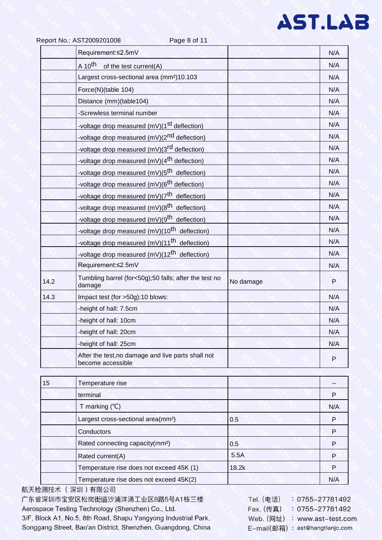|      | Report No.: AST2009201008<br>Page 8 of 11                               |           |     |
|------|-------------------------------------------------------------------------|-----------|-----|
|      | Requirement:≤2.5mV                                                      |           | N/A |
|      | A 10 <sup>th</sup><br>of the test current(A)                            |           | N/A |
|      | Largest cross-sectional area (mm <sup>2</sup> )10.103                   |           | N/A |
|      | Force(N)(table 104)                                                     |           | N/A |
|      | Distance (mm)(table104)                                                 |           | N/A |
|      | -Screwless terminal number                                              |           | N/A |
|      | -voltage drop measured (mV)(1 <sup>st</sup> deflection)                 |           | N/A |
|      | -voltage drop measured (mV)(2 <sup>nd</sup> deflection)                 |           | N/A |
|      | -voltage drop measured (mV)(3 <sup>rd</sup> deflection)                 |           | N/A |
|      | -voltage drop measured (mV)(4 <sup>th</sup> deflection)                 |           | N/A |
|      | -voltage drop measured (mV)(5 <sup>th</sup> deflection)                 |           | N/A |
|      | -voltage drop measured (mV)(6 <sup>th</sup> deflection)                 |           | N/A |
|      | -voltage drop measured (mV)(7 <sup>th</sup> deflection)                 |           | N/A |
|      | -voltage drop measured (mV)(8 <sup>th</sup> deflection)                 |           | N/A |
|      | -voltage drop measured (mV)(9 <sup>th</sup> deflection)                 |           | N/A |
|      | -voltage drop measured (mV)(10 <sup>th</sup> deflection)                |           | N/A |
|      | -voltage drop measured (mV)(11 <sup>th</sup> deflection)                |           | N/A |
|      | -voltage drop measured $(mV)(12^{th}$ deflection)                       |           | N/A |
|      | Requirement:≤2.5mV                                                      |           | N/A |
| 14.2 | Tumbling barrel (for<50g);50 falls; after the test no<br>damage         | No damage | P   |
| 14.3 | Impact test (for >50g):10 blows:                                        |           | N/A |
|      | -height of hall: 7.5cm                                                  |           | N/A |
|      | -height of hall: 10cm                                                   |           | N/A |
|      | -height of hall: 20cm                                                   |           | N/A |
|      | -height of hall: 25cm                                                   |           | N/A |
|      | After the test, no damage and live parts shall not<br>become accessible |           | P   |

| 15 | Temperature rise                               |       |     |
|----|------------------------------------------------|-------|-----|
|    | terminal                                       |       | P   |
|    | T marking $(°C)$                               |       | N/A |
|    | Largest cross-sectional area(mm <sup>2</sup> ) | 0.5   | P   |
|    | Conductors                                     |       | P   |
|    | Rated connecting capacity(mm <sup>2</sup> )    | 0.5   | P   |
|    | Rated current(A)                               | 5.5A  | P   |
|    | Temperature rise does not exceed 45K (1)       | 18.2k | P   |
|    | Temperature rise does not exceed 45K(2)        |       | N/A |

航天检测技术 (深圳)有限公司 广东省深圳市宝安区松岗街道沙浦洋涌工业区8路5号A1栋三楼 Aerospace Testing Technology (Shenzhen) Co., Ltd. 3/F, Block A1, No.5, 8th Road, Shapu Yangyong Industrial Park, Songgang Street, Bao'an District, Shenzhen, Guangdong, China

**Tel.** (电话)  $: 0755 - 27781492$  $: 0755 - 27781492$ Fax. (传真) Web. (网址) : www.ast-test.com E-mail(邮箱): ast@hangtianjc.com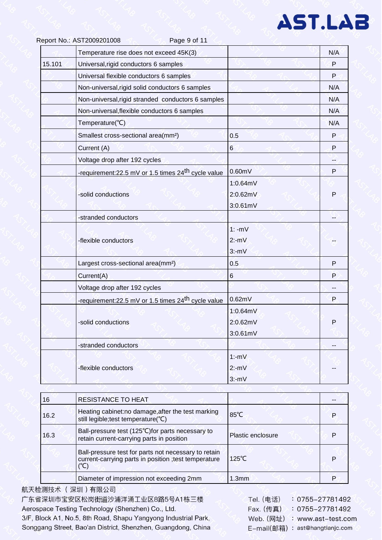|        | Temperature rise does not exceed 45K(3)                        |          | N/A |
|--------|----------------------------------------------------------------|----------|-----|
| 15.101 | Universal, rigid conductors 6 samples                          |          | P   |
|        | Universal flexible conductors 6 samples                        |          | P   |
|        | Non-universal, rigid solid conductors 6 samples                |          | N/A |
|        | Non-universal, rigid stranded conductors 6 samples             |          | N/A |
|        | Non-universal, flexible conductors 6 samples                   |          | N/A |
|        | Temperature(°C)                                                |          | N/A |
|        | Smallest cross-sectional area(mm <sup>2</sup> )                | 0.5      | P   |
|        | Current (A)                                                    | 6        | P   |
|        | Voltage drop after 192 cycles                                  |          |     |
|        | -requirement:22.5 mV or 1.5 times 24 <sup>th</sup> cycle value | 0.60mV   | P   |
|        |                                                                | 1:0.64mV |     |
|        | -solid conductions                                             | 2:0.62mV | P   |
|        |                                                                | 3:0.61mV |     |
|        | -stranded conductors                                           |          |     |
|        |                                                                | $1: -mV$ |     |
|        | -flexible conductors                                           | $2:-mV$  |     |
|        |                                                                | $3:-mV$  |     |
|        | Largest cross-sectional area(mm <sup>2</sup> )                 | 0.5      | P   |
|        | Current(A)                                                     | 6        | P   |
|        | Voltage drop after 192 cycles                                  |          |     |
|        | -requirement:22.5 mV or 1.5 times 24 <sup>th</sup> cycle value | 0.62mV   | P   |
|        |                                                                | 1:0.64mV |     |
|        | -solid conductions                                             | 2:0.62mV | P   |
|        |                                                                | 3:0.61mV |     |
|        | -stranded conductors                                           |          |     |
|        |                                                                | $1:-mV$  |     |
|        | -flexible conductors                                           | $2:-mV$  |     |
|        |                                                                | $3:-mV$  |     |

| 16   | <b>RESISTANCE TO HEAT</b>                                                                                             |                   |   |
|------|-----------------------------------------------------------------------------------------------------------------------|-------------------|---|
| 16.2 | Heating cabinet: no damage, after the test marking<br>still legible; test temperature(°C)                             | $85^{\circ}$ C    |   |
| 16.3 | Ball-pressure test (125°C) for parts necessary to<br>retain current-carrying parts in position                        | Plastic enclosure |   |
|      | Ball-pressure test for parts not necessary to retain<br>current-carrying parts in position ; test temperature<br>(°C) | $125^{\circ}$ C   | Р |
|      | Diameter of impression not exceeding 2mm                                                                              | 1.3mm             |   |

航天检测技术 (深圳)有限公司 广东省深圳市宝安区松岗街道沙浦洋涌工业区8路5号A1栋三楼 Aerospace Testing Technology (Shenzhen) Co., Ltd. 3/F, Block A1, No.5, 8th Road, Shapu Yangyong Industrial Park, Songgang Street, Bao'an District, Shenzhen, Guangdong, China

Tel. (电话)  $: 0755 - 27781492$  $: 0755 - 27781492$ Fax. (传真) Web. (网址) : www.ast-test.com E-mail(邮箱): ast@hangtianjc.com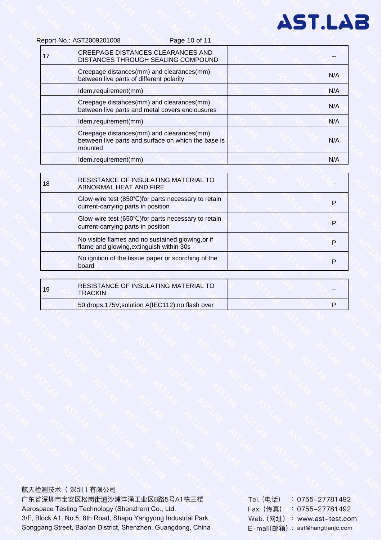Page 10 of 11

| 17 | CREEPAGE DISTANCES, CLEARANCES AND<br>DISTANCES THROUGH SEALING COMPOUND                                    |     |
|----|-------------------------------------------------------------------------------------------------------------|-----|
|    | Creepage distances(mm) and clearances(mm)<br>between live parts of different polarity                       | N/A |
|    | Idem, requirement (mm)                                                                                      | N/A |
|    | Creepage distances(mm) and clearances(mm)<br>between live parts and metal covers enclousures                | N/A |
|    | Idem, requirement(mm)                                                                                       | N/A |
|    | Creepage distances(mm) and clearances(mm)<br>between live parts and surface on which the base is<br>mounted | N/A |
|    | Idem, requirement(mm)                                                                                       | N/A |
|    |                                                                                                             |     |
| 18 | RESISTANCE OF INSULATING MATERIAL TO<br>ABNORMAL HEAT AND FIRE                                              |     |
|    | Glow-wire test (850°C) for parts necessary to retain<br>current-carrying parts in position                  | P   |
|    | Glow-wire test (650°C) for parts necessary to retain<br>current-carrying parts in position                  | P   |
|    | No visible flames and no sustained glowing, or if<br>flame and glowing, extinguish within 30s               | P   |
|    | No ignition of the tissue paper or scorching of the<br>board                                                | P   |
|    |                                                                                                             |     |
|    | DESISTANCE OF INSHI ATING MATERIAL TO                                                                       |     |

| 19 | RESISTANCE OF INSULATING MATERIAL TO<br><b>TRACKIN</b> | $- -$ |
|----|--------------------------------------------------------|-------|
|    | 50 drops, 175V, solution A(IEC112): no flash over      |       |

航天检测技术 (深圳)有限公司

广东省深圳市宝安区松岗街道沙浦洋涌工业区8路5号A1栋三楼 Aerospace Testing Technology (Shenzhen) Co., Ltd. 3/F, Block A1, No.5, 8th Road, Shapu Yangyong Industrial Park, Songgang Street, Bao'an District, Shenzhen, Guangdong, China Tel. (电话)  $: 0755 - 27781492$ Fax. (传真) : 0755-27781492 Web. (网址) : www.ast-test.com E-mail(邮箱): ast@hangtianjc.com